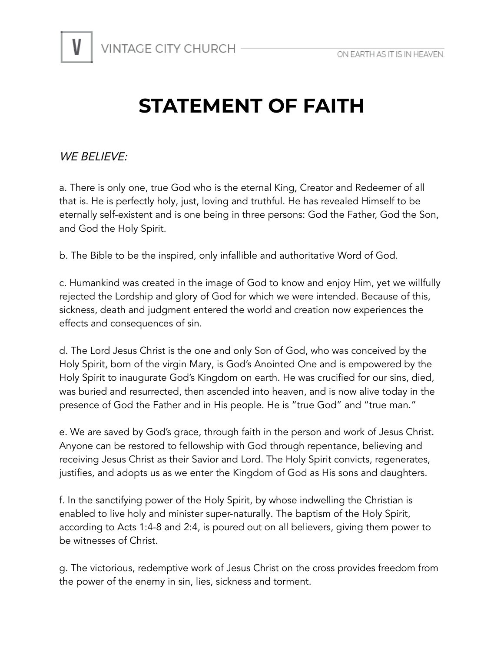

## **STATEMENT OF FAITH**

WE BELIEVE:

a. There is only one, true God who is the eternal King, Creator and Redeemer of all that is. He is perfectly holy, just, loving and truthful. He has revealed Himself to be eternally self-existent and is one being in three persons: God the Father, God the Son, and God the Holy Spirit.

b. The Bible to be the inspired, only infallible and authoritative Word of God.

c. Humankind was created in the image of God to know and enjoy Him, yet we willfully rejected the Lordship and glory of God for which we were intended. Because of this, sickness, death and judgment entered the world and creation now experiences the effects and consequences of sin.

d. The Lord Jesus Christ is the one and only Son of God, who was conceived by the Holy Spirit, born of the virgin Mary, is God's Anointed One and is empowered by the Holy Spirit to inaugurate God's Kingdom on earth. He was crucified for our sins, died, was buried and resurrected, then ascended into heaven, and is now alive today in the presence of God the Father and in His people. He is "true God" and "true man."

e. We are saved by God's grace, through faith in the person and work of Jesus Christ. Anyone can be restored to fellowship with God through repentance, believing and receiving Jesus Christ as their Savior and Lord. The Holy Spirit convicts, regenerates, justifies, and adopts us as we enter the Kingdom of God as His sons and daughters.

f. In the sanctifying power of the Holy Spirit, by whose indwelling the Christian is enabled to live holy and minister super-naturally. The baptism of the Holy Spirit, according to Acts 1:4-8 and 2:4, is poured out on all believers, giving them power to be witnesses of Christ.

g. The victorious, redemptive work of Jesus Christ on the cross provides freedom from the power of the enemy in sin, lies, sickness and torment.